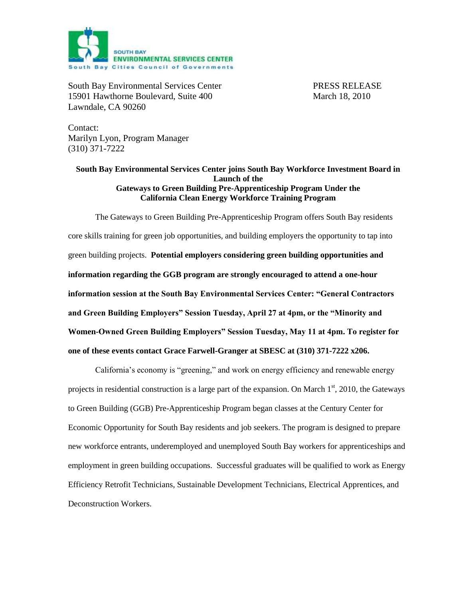

South Bay Environmental Services Center PRESS RELEASE 15901 Hawthorne Boulevard, Suite 400 March 18, 2010 Lawndale, CA 90260

Contact: Marilyn Lyon, Program Manager (310) 371-7222

## **South Bay Environmental Services Center joins South Bay Workforce Investment Board in Launch of the Gateways to Green Building Pre-Apprenticeship Program Under the California Clean Energy Workforce Training Program**

The Gateways to Green Building Pre-Apprenticeship Program offers South Bay residents core skills training for green job opportunities, and building employers the opportunity to tap into green building projects. **Potential employers considering green building opportunities and information regarding the GGB program are strongly encouraged to attend a one-hour information session at the South Bay Environmental Services Center: "General Contractors and Green Building Employers" Session Tuesday, April 27 at 4pm, or the "Minority and Women-Owned Green Building Employers" Session Tuesday, May 11 at 4pm. To register for one of these events contact Grace Farwell-Granger at SBESC at (310) 371-7222 x206.**

California's economy is "greening," and work on energy efficiency and renewable energy projects in residential construction is a large part of the expansion. On March  $1<sup>st</sup>$ , 2010, the Gateways to Green Building (GGB) Pre-Apprenticeship Program began classes at the Century Center for Economic Opportunity for South Bay residents and job seekers. The program is designed to prepare new workforce entrants, underemployed and unemployed South Bay workers for apprenticeships and employment in green building occupations. Successful graduates will be qualified to work as Energy Efficiency Retrofit Technicians, Sustainable Development Technicians, Electrical Apprentices, and Deconstruction Workers.